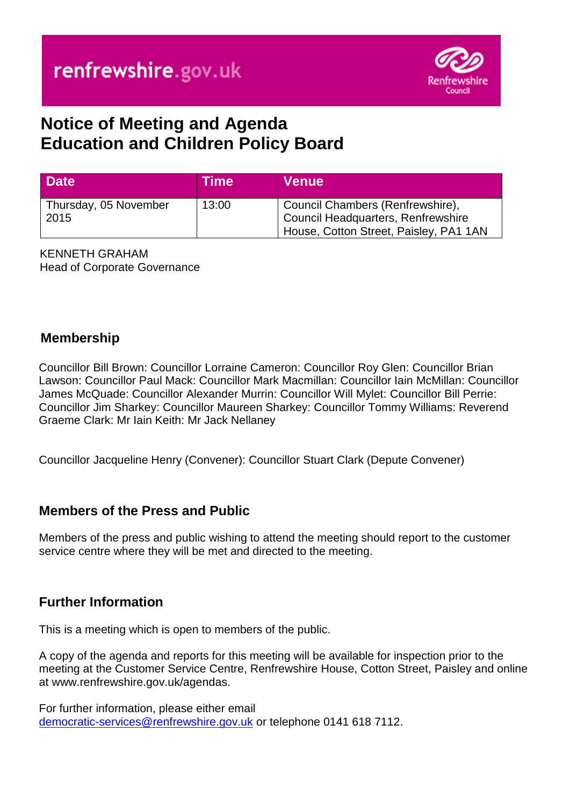

# **Notice of Meeting and Agenda Education and Children Policy Board**

| <b>Date</b>                   | Time  | ∣ Venue <sup>∖</sup>                                                                                             |
|-------------------------------|-------|------------------------------------------------------------------------------------------------------------------|
| Thursday, 05 November<br>2015 | 13:00 | Gouncil Chambers (Renfrewshire),<br>Council Headquarters, Renfrewshire<br>House, Cotton Street, Paisley, PA1 1AN |

KENNETH GRAHAM Head of Corporate Governance

#### **Membership**

Councillor Bill Brown: Councillor Lorraine Cameron: Councillor Roy Glen: Councillor Brian Lawson: Councillor Paul Mack: Councillor Mark Macmillan: Councillor Iain McMillan: Councillor James McQuade: Councillor Alexander Murrin: Councillor Will Mylet: Councillor Bill Perrie: Councillor Jim Sharkey: Councillor Maureen Sharkey: Councillor Tommy Williams: Reverend Graeme Clark: Mr Iain Keith: Mr Jack Nellaney

Councillor Jacqueline Henry (Convener): Councillor Stuart Clark (Depute Convener)

#### **Members of the Press and Public**

Members of the press and public wishing to attend the meeting should report to the customer service centre where they will be met and directed to the meeting.

#### **Further Information**

This is a meeting which is open to members of the public.

A copy of the agenda and reports for this meeting will be available for inspection prior to the meeting at the Customer Service Centre, Renfrewshire House, Cotton Street, Paisley and online at www.renfrewshire.gov.uk/agendas.

For further information, please either email [democratic-services@renfrewshire.gov.uk](mailto:democratic-services@renfrewshire.gov.uk) or telephone 0141 618 7112.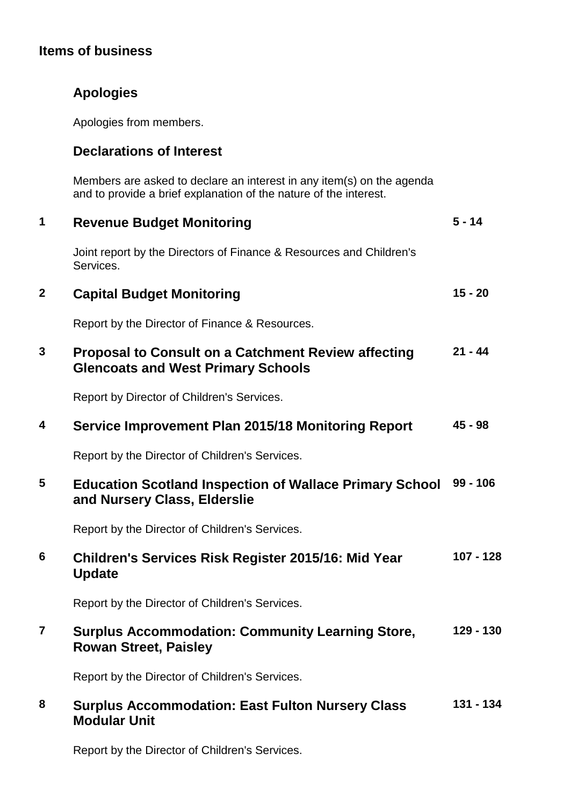### **Items of business**

## **Apologies**

Apologies from members.

#### **Declarations of Interest**

Members are asked to declare an interest in any item(s) on the agenda and to provide a brief explanation of the nature of the interest.

| $\mathbf 1$    | <b>Revenue Budget Monitoring</b>                                                                        | $5 - 14$    |
|----------------|---------------------------------------------------------------------------------------------------------|-------------|
|                | Joint report by the Directors of Finance & Resources and Children's<br>Services.                        |             |
| $\mathbf{2}$   | <b>Capital Budget Monitoring</b>                                                                        | $15 - 20$   |
|                | Report by the Director of Finance & Resources.                                                          |             |
| 3              | <b>Proposal to Consult on a Catchment Review affecting</b><br><b>Glencoats and West Primary Schools</b> | $21 - 44$   |
|                | Report by Director of Children's Services.                                                              |             |
| 4              | Service Improvement Plan 2015/18 Monitoring Report                                                      | $45 - 98$   |
|                | Report by the Director of Children's Services.                                                          |             |
| 5              | <b>Education Scotland Inspection of Wallace Primary School</b><br>and Nursery Class, Elderslie          | $99 - 106$  |
|                | Report by the Director of Children's Services.                                                          |             |
| 6              | Children's Services Risk Register 2015/16: Mid Year<br><b>Update</b>                                    | $107 - 128$ |
|                | Report by the Director of Children's Services.                                                          |             |
| $\overline{7}$ | <b>Surplus Accommodation: Community Learning Store,</b><br><b>Rowan Street, Paisley</b>                 | 129 - 130   |
|                | Report by the Director of Children's Services.                                                          |             |
| 8              | <b>Surplus Accommodation: East Fulton Nursery Class</b><br><b>Modular Unit</b>                          | $131 - 134$ |

Report by the Director of Children's Services.